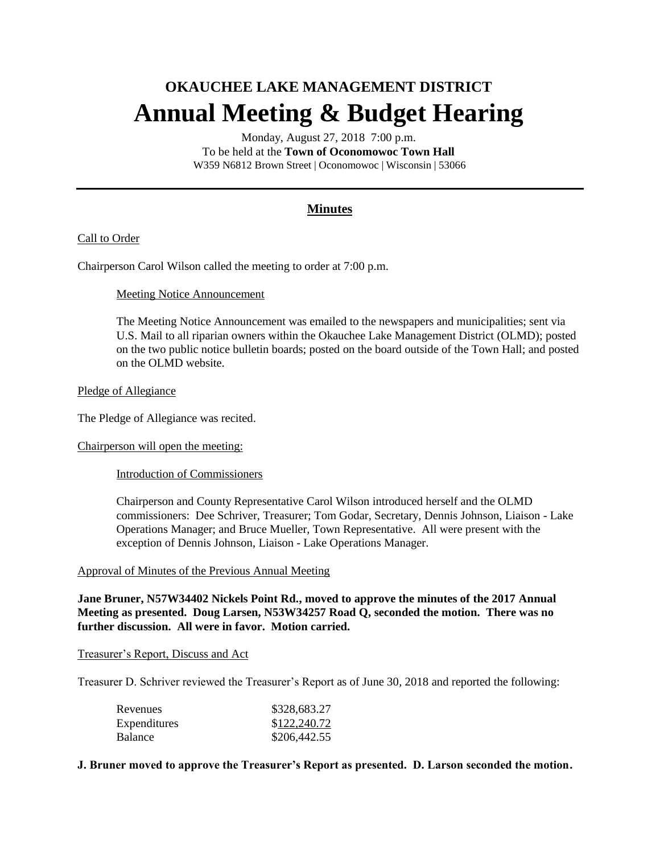# **OKAUCHEE LAKE MANAGEMENT DISTRICT Annual Meeting & Budget Hearing**

Monday, August 27, 2018 7:00 p.m. To be held at the **Town of Oconomowoc Town Hall** W359 N6812 Brown Street | Oconomowoc | Wisconsin | 53066

## **Minutes**

## Call to Order

Chairperson Carol Wilson called the meeting to order at 7:00 p.m.

#### Meeting Notice Announcement

The Meeting Notice Announcement was emailed to the newspapers and municipalities; sent via U.S. Mail to all riparian owners within the Okauchee Lake Management District (OLMD); posted on the two public notice bulletin boards; posted on the board outside of the Town Hall; and posted on the OLMD website.

#### Pledge of Allegiance

The Pledge of Allegiance was recited.

Chairperson will open the meeting:

Introduction of Commissioners

Chairperson and County Representative Carol Wilson introduced herself and the OLMD commissioners: Dee Schriver, Treasurer; Tom Godar, Secretary, Dennis Johnson, Liaison - Lake Operations Manager; and Bruce Mueller, Town Representative. All were present with the exception of Dennis Johnson, Liaison - Lake Operations Manager.

#### Approval of Minutes of the Previous Annual Meeting

**Jane Bruner, N57W34402 Nickels Point Rd., moved to approve the minutes of the 2017 Annual Meeting as presented. Doug Larsen, N53W34257 Road Q, seconded the motion. There was no further discussion. All were in favor. Motion carried.**

#### Treasurer's Report, Discuss and Act

Treasurer D. Schriver reviewed the Treasurer's Report as of June 30, 2018 and reported the following:

| Revenues       | \$328,683.27 |
|----------------|--------------|
| Expenditures   | \$122,240.72 |
| <b>Balance</b> | \$206,442.55 |

## **J. Bruner moved to approve the Treasurer's Report as presented. D. Larson seconded the motion.**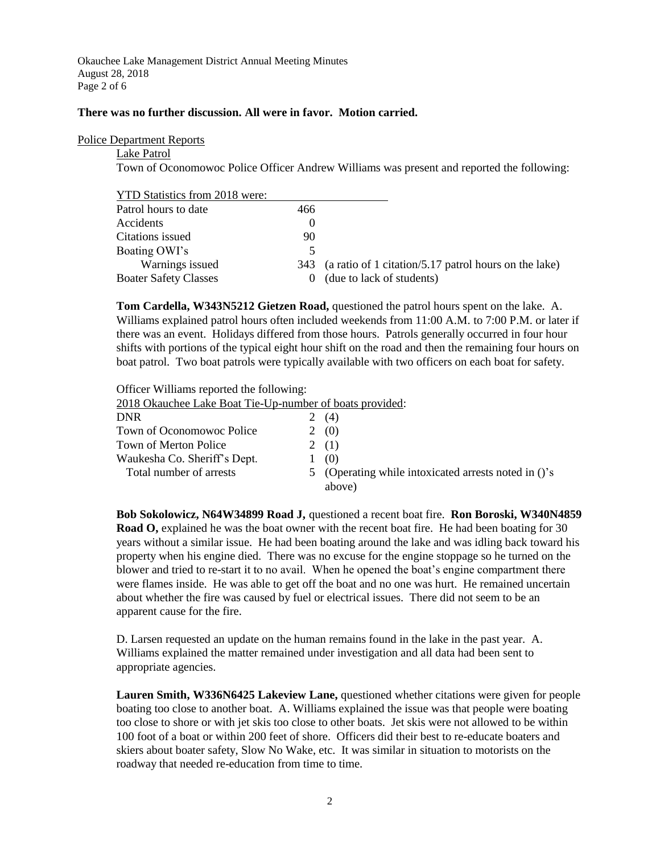Okauchee Lake Management District Annual Meeting Minutes August 28, 2018 Page 2 of 6

#### **There was no further discussion. All were in favor. Motion carried.**

#### Police Department Reports

Lake Patrol

Town of Oconomowoc Police Officer Andrew Williams was present and reported the following:

YTD Statistics from 2018 were:

| Patrol hours to date         | 466 |                                                           |
|------------------------------|-----|-----------------------------------------------------------|
| Accidents                    |     |                                                           |
| Citations issued             | 90  |                                                           |
| Boating OWI's                |     |                                                           |
| Warnings issued              |     | 343 (a ratio of 1 citation/5.17 patrol hours on the lake) |
| <b>Boater Safety Classes</b> |     | (due to lack of students)                                 |
|                              |     |                                                           |

**Tom Cardella, W343N5212 Gietzen Road,** questioned the patrol hours spent on the lake. A. Williams explained patrol hours often included weekends from 11:00 A.M. to 7:00 P.M. or later if there was an event. Holidays differed from those hours. Patrols generally occurred in four hour shifts with portions of the typical eight hour shift on the road and then the remaining four hours on boat patrol. Two boat patrols were typically available with two officers on each boat for safety.

Officer Williams reported the following:

| 2018 Okauchee Lake Boat Tie-Up-number of boats provided:       |
|----------------------------------------------------------------|
| (4)                                                            |
| (0)                                                            |
| 2(1)                                                           |
| (0)                                                            |
| 5 (Operating while intoxicated arrests noted in ()'s<br>above) |
|                                                                |

**Bob Sokolowicz, N64W34899 Road J,** questioned a recent boat fire. **Ron Boroski, W340N4859 Road O,** explained he was the boat owner with the recent boat fire. He had been boating for 30 years without a similar issue. He had been boating around the lake and was idling back toward his property when his engine died. There was no excuse for the engine stoppage so he turned on the blower and tried to re-start it to no avail. When he opened the boat's engine compartment there were flames inside. He was able to get off the boat and no one was hurt. He remained uncertain about whether the fire was caused by fuel or electrical issues. There did not seem to be an apparent cause for the fire.

D. Larsen requested an update on the human remains found in the lake in the past year. A. Williams explained the matter remained under investigation and all data had been sent to appropriate agencies.

**Lauren Smith, W336N6425 Lakeview Lane,** questioned whether citations were given for people boating too close to another boat. A. Williams explained the issue was that people were boating too close to shore or with jet skis too close to other boats. Jet skis were not allowed to be within 100 foot of a boat or within 200 feet of shore. Officers did their best to re-educate boaters and skiers about boater safety, Slow No Wake, etc. It was similar in situation to motorists on the roadway that needed re-education from time to time.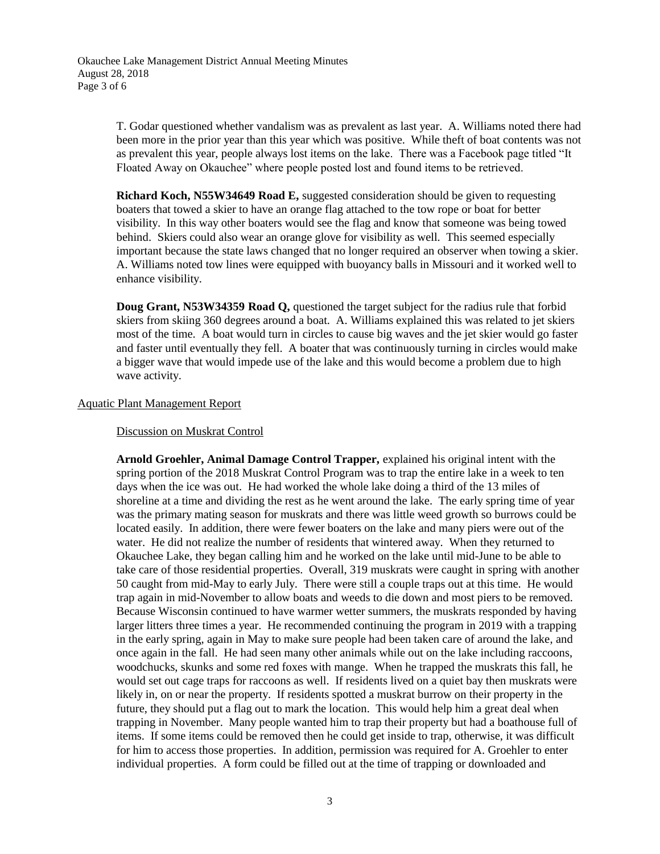T. Godar questioned whether vandalism was as prevalent as last year. A. Williams noted there had been more in the prior year than this year which was positive. While theft of boat contents was not as prevalent this year, people always lost items on the lake. There was a Facebook page titled "It Floated Away on Okauchee" where people posted lost and found items to be retrieved.

**Richard Koch, N55W34649 Road E,** suggested consideration should be given to requesting boaters that towed a skier to have an orange flag attached to the tow rope or boat for better visibility. In this way other boaters would see the flag and know that someone was being towed behind. Skiers could also wear an orange glove for visibility as well. This seemed especially important because the state laws changed that no longer required an observer when towing a skier. A. Williams noted tow lines were equipped with buoyancy balls in Missouri and it worked well to enhance visibility.

**Doug Grant, N53W34359 Road Q,** questioned the target subject for the radius rule that forbid skiers from skiing 360 degrees around a boat. A. Williams explained this was related to jet skiers most of the time. A boat would turn in circles to cause big waves and the jet skier would go faster and faster until eventually they fell. A boater that was continuously turning in circles would make a bigger wave that would impede use of the lake and this would become a problem due to high wave activity.

## Aquatic Plant Management Report

#### Discussion on Muskrat Control

**Arnold Groehler, Animal Damage Control Trapper,** explained his original intent with the spring portion of the 2018 Muskrat Control Program was to trap the entire lake in a week to ten days when the ice was out. He had worked the whole lake doing a third of the 13 miles of shoreline at a time and dividing the rest as he went around the lake. The early spring time of year was the primary mating season for muskrats and there was little weed growth so burrows could be located easily. In addition, there were fewer boaters on the lake and many piers were out of the water. He did not realize the number of residents that wintered away. When they returned to Okauchee Lake, they began calling him and he worked on the lake until mid-June to be able to take care of those residential properties. Overall, 319 muskrats were caught in spring with another 50 caught from mid-May to early July. There were still a couple traps out at this time. He would trap again in mid-November to allow boats and weeds to die down and most piers to be removed. Because Wisconsin continued to have warmer wetter summers, the muskrats responded by having larger litters three times a year. He recommended continuing the program in 2019 with a trapping in the early spring, again in May to make sure people had been taken care of around the lake, and once again in the fall. He had seen many other animals while out on the lake including raccoons, woodchucks, skunks and some red foxes with mange. When he trapped the muskrats this fall, he would set out cage traps for raccoons as well. If residents lived on a quiet bay then muskrats were likely in, on or near the property. If residents spotted a muskrat burrow on their property in the future, they should put a flag out to mark the location. This would help him a great deal when trapping in November. Many people wanted him to trap their property but had a boathouse full of items. If some items could be removed then he could get inside to trap, otherwise, it was difficult for him to access those properties. In addition, permission was required for A. Groehler to enter individual properties. A form could be filled out at the time of trapping or downloaded and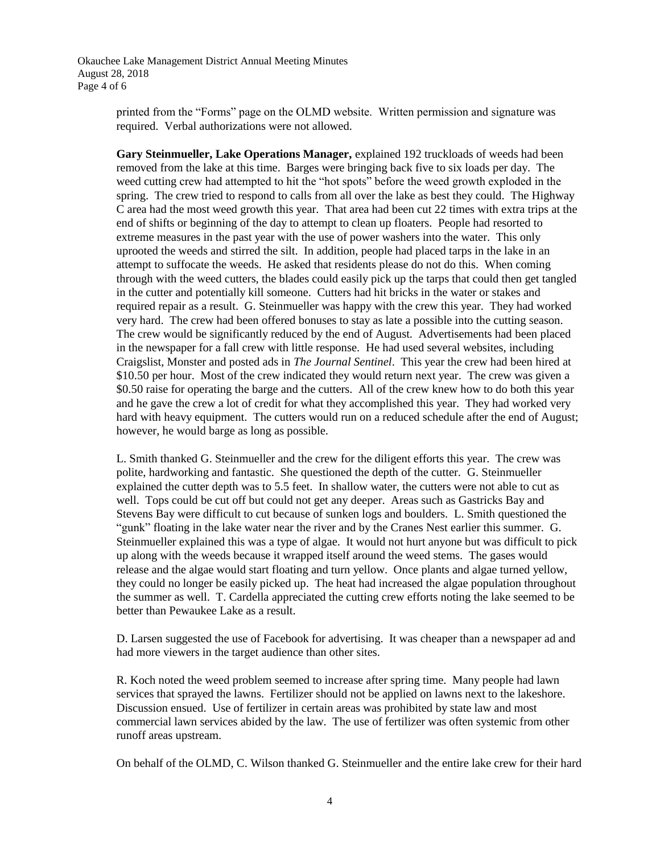Okauchee Lake Management District Annual Meeting Minutes August 28, 2018 Page 4 of 6

> printed from the "Forms" page on the OLMD website. Written permission and signature was required. Verbal authorizations were not allowed.

**Gary Steinmueller, Lake Operations Manager,** explained 192 truckloads of weeds had been removed from the lake at this time. Barges were bringing back five to six loads per day. The weed cutting crew had attempted to hit the "hot spots" before the weed growth exploded in the spring. The crew tried to respond to calls from all over the lake as best they could. The Highway C area had the most weed growth this year. That area had been cut 22 times with extra trips at the end of shifts or beginning of the day to attempt to clean up floaters. People had resorted to extreme measures in the past year with the use of power washers into the water. This only uprooted the weeds and stirred the silt. In addition, people had placed tarps in the lake in an attempt to suffocate the weeds. He asked that residents please do not do this. When coming through with the weed cutters, the blades could easily pick up the tarps that could then get tangled in the cutter and potentially kill someone. Cutters had hit bricks in the water or stakes and required repair as a result. G. Steinmueller was happy with the crew this year. They had worked very hard. The crew had been offered bonuses to stay as late a possible into the cutting season. The crew would be significantly reduced by the end of August. Advertisements had been placed in the newspaper for a fall crew with little response. He had used several websites, including Craigslist, Monster and posted ads in *The Journal Sentinel*. This year the crew had been hired at \$10.50 per hour. Most of the crew indicated they would return next year. The crew was given a \$0.50 raise for operating the barge and the cutters. All of the crew knew how to do both this year and he gave the crew a lot of credit for what they accomplished this year. They had worked very hard with heavy equipment. The cutters would run on a reduced schedule after the end of August; however, he would barge as long as possible.

L. Smith thanked G. Steinmueller and the crew for the diligent efforts this year. The crew was polite, hardworking and fantastic. She questioned the depth of the cutter. G. Steinmueller explained the cutter depth was to 5.5 feet. In shallow water, the cutters were not able to cut as well. Tops could be cut off but could not get any deeper. Areas such as Gastricks Bay and Stevens Bay were difficult to cut because of sunken logs and boulders. L. Smith questioned the "gunk" floating in the lake water near the river and by the Cranes Nest earlier this summer. G. Steinmueller explained this was a type of algae. It would not hurt anyone but was difficult to pick up along with the weeds because it wrapped itself around the weed stems. The gases would release and the algae would start floating and turn yellow. Once plants and algae turned yellow, they could no longer be easily picked up. The heat had increased the algae population throughout the summer as well. T. Cardella appreciated the cutting crew efforts noting the lake seemed to be better than Pewaukee Lake as a result.

D. Larsen suggested the use of Facebook for advertising. It was cheaper than a newspaper ad and had more viewers in the target audience than other sites.

R. Koch noted the weed problem seemed to increase after spring time. Many people had lawn services that sprayed the lawns. Fertilizer should not be applied on lawns next to the lakeshore. Discussion ensued. Use of fertilizer in certain areas was prohibited by state law and most commercial lawn services abided by the law. The use of fertilizer was often systemic from other runoff areas upstream.

On behalf of the OLMD, C. Wilson thanked G. Steinmueller and the entire lake crew for their hard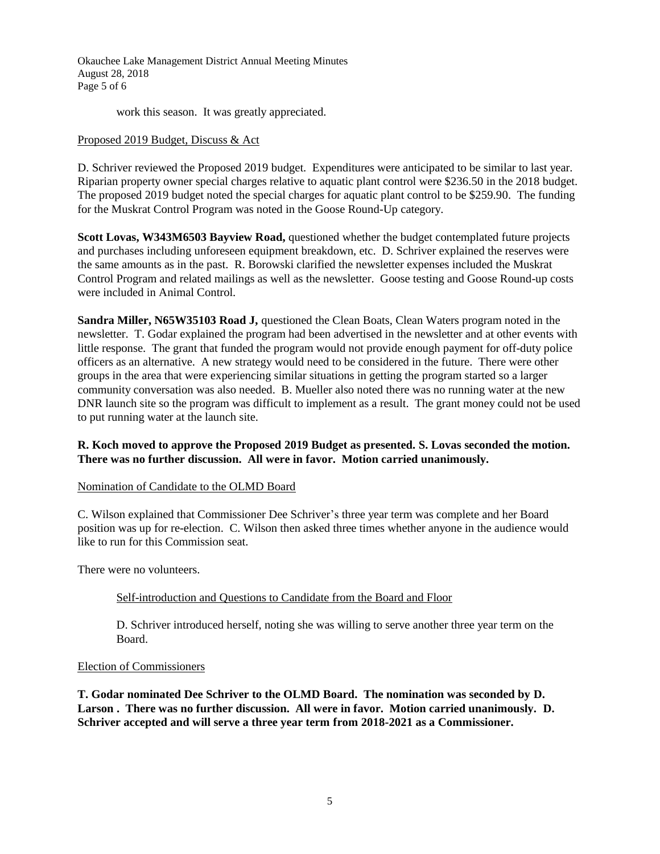Okauchee Lake Management District Annual Meeting Minutes August 28, 2018 Page 5 of 6

work this season. It was greatly appreciated.

#### Proposed 2019 Budget, Discuss & Act

D. Schriver reviewed the Proposed 2019 budget. Expenditures were anticipated to be similar to last year. Riparian property owner special charges relative to aquatic plant control were \$236.50 in the 2018 budget. The proposed 2019 budget noted the special charges for aquatic plant control to be \$259.90. The funding for the Muskrat Control Program was noted in the Goose Round-Up category.

**Scott Lovas, W343M6503 Bayview Road,** questioned whether the budget contemplated future projects and purchases including unforeseen equipment breakdown, etc. D. Schriver explained the reserves were the same amounts as in the past. R. Borowski clarified the newsletter expenses included the Muskrat Control Program and related mailings as well as the newsletter. Goose testing and Goose Round-up costs were included in Animal Control.

**Sandra Miller, N65W35103 Road J,** questioned the Clean Boats, Clean Waters program noted in the newsletter. T. Godar explained the program had been advertised in the newsletter and at other events with little response. The grant that funded the program would not provide enough payment for off-duty police officers as an alternative. A new strategy would need to be considered in the future. There were other groups in the area that were experiencing similar situations in getting the program started so a larger community conversation was also needed. B. Mueller also noted there was no running water at the new DNR launch site so the program was difficult to implement as a result. The grant money could not be used to put running water at the launch site.

## **R. Koch moved to approve the Proposed 2019 Budget as presented. S. Lovas seconded the motion. There was no further discussion. All were in favor. Motion carried unanimously.**

## Nomination of Candidate to the OLMD Board

C. Wilson explained that Commissioner Dee Schriver's three year term was complete and her Board position was up for re-election. C. Wilson then asked three times whether anyone in the audience would like to run for this Commission seat.

There were no volunteers.

## Self-introduction and Questions to Candidate from the Board and Floor

D. Schriver introduced herself, noting she was willing to serve another three year term on the Board.

#### Election of Commissioners

**T. Godar nominated Dee Schriver to the OLMD Board. The nomination was seconded by D. Larson . There was no further discussion. All were in favor. Motion carried unanimously. D. Schriver accepted and will serve a three year term from 2018-2021 as a Commissioner.**